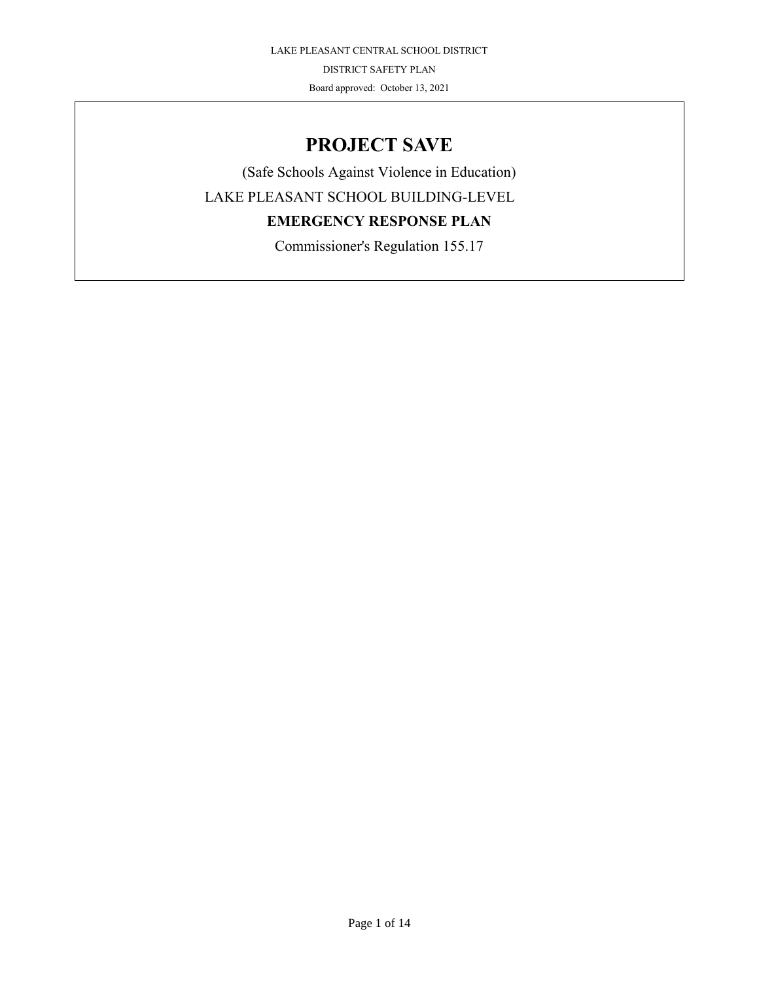# **PROJECT SAVE**

(Safe Schools Against Violence in Education) LAKE PLEASANT SCHOOL BUILDING-LEVEL **EMERGENCY RESPONSE PLAN** Commissioner's Regulation 155.17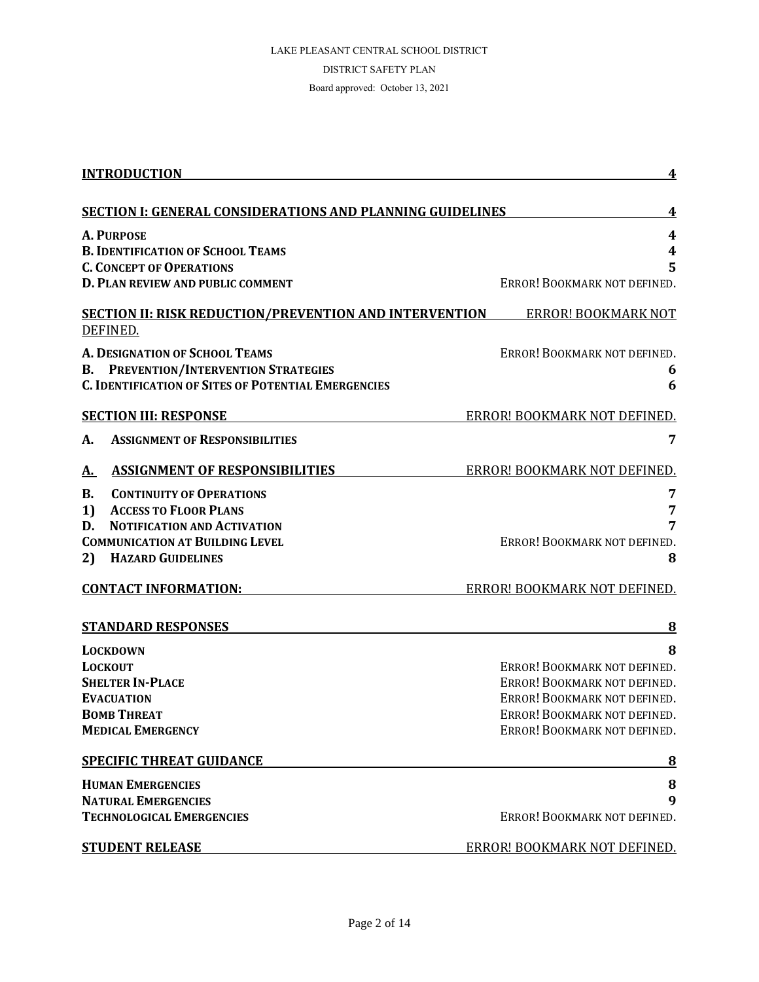| <b>INTRODUCTION</b>                                                            | 4                                                            |
|--------------------------------------------------------------------------------|--------------------------------------------------------------|
| <b>SECTION I: GENERAL CONSIDERATIONS AND PLANNING GUIDELINES</b>               | 4                                                            |
| <b>A. PURPOSE</b>                                                              | 4                                                            |
| <b>B. IDENTIFICATION OF SCHOOL TEAMS</b>                                       | $\boldsymbol{4}$                                             |
| <b>C. CONCEPT OF OPERATIONS</b>                                                | 5                                                            |
| D. PLAN REVIEW AND PUBLIC COMMENT                                              | ERROR! BOOKMARK NOT DEFINED.                                 |
| <b>SECTION II: RISK REDUCTION/PREVENTION AND INTERVENTION</b>                  | <b>ERROR! BOOKMARK NOT</b>                                   |
| DEFINED.                                                                       |                                                              |
| A. DESIGNATION OF SCHOOL TEAMS                                                 | ERROR! BOOKMARK NOT DEFINED.                                 |
| PREVENTION/INTERVENTION STRATEGIES<br>В.                                       | 6                                                            |
| <b>C. IDENTIFICATION OF SITES OF POTENTIAL EMERGENCIES</b>                     | 6                                                            |
| <b>SECTION III: RESPONSE</b>                                                   | ERROR! BOOKMARK NOT DEFINED.                                 |
| <b>ASSIGNMENT OF RESPONSIBILITIES</b><br>А.                                    | 7                                                            |
|                                                                                |                                                              |
| <b>ASSIGNMENT OF RESPONSIBILITIES</b><br>А.                                    | ERROR! BOOKMARK NOT DEFINED.                                 |
| <b>CONTINUITY OF OPERATIONS</b><br>В.                                          | 7                                                            |
| <b>ACCESS TO FLOOR PLANS</b><br>1)<br><b>NOTIFICATION AND ACTIVATION</b><br>D. | 7<br>7                                                       |
| <b>COMMUNICATION AT BUILDING LEVEL</b>                                         | ERROR! BOOKMARK NOT DEFINED.                                 |
| <b>HAZARD GUIDELINES</b><br>2)                                                 | 8                                                            |
| <b>CONTACT INFORMATION:</b>                                                    | ERROR! BOOKMARK NOT DEFINED.                                 |
| <b>STANDARD RESPONSES</b>                                                      | 8                                                            |
| <b>LOCKDOWN</b>                                                                | 8                                                            |
| <b>LOCKOUT</b>                                                                 | ERROR! BOOKMARK NOT DEFINED.                                 |
| <b>SHELTER IN-PLACE</b>                                                        | ERROR! BOOKMARK NOT DEFINED.                                 |
| <b>EVACUATION</b>                                                              | ERROR! BOOKMARK NOT DEFINED.                                 |
| <b>BOMB THREAT</b><br><b>MEDICAL EMERGENCY</b>                                 | ERROR! BOOKMARK NOT DEFINED.<br>ERROR! BOOKMARK NOT DEFINED. |
|                                                                                |                                                              |
| <b>SPECIFIC THREAT GUIDANCE</b>                                                | <u>8</u>                                                     |
| <b>HUMAN EMERGENCIES</b>                                                       | 8                                                            |
| <b>NATURAL EMERGENCIES</b>                                                     | 9                                                            |
| <b>TECHNOLOGICAL EMERGENCIES</b>                                               | ERROR! BOOKMARK NOT DEFINED.                                 |
| <b>STUDENT RELEASE</b>                                                         | ERROR! BOOKMARK NOT DEFINED.                                 |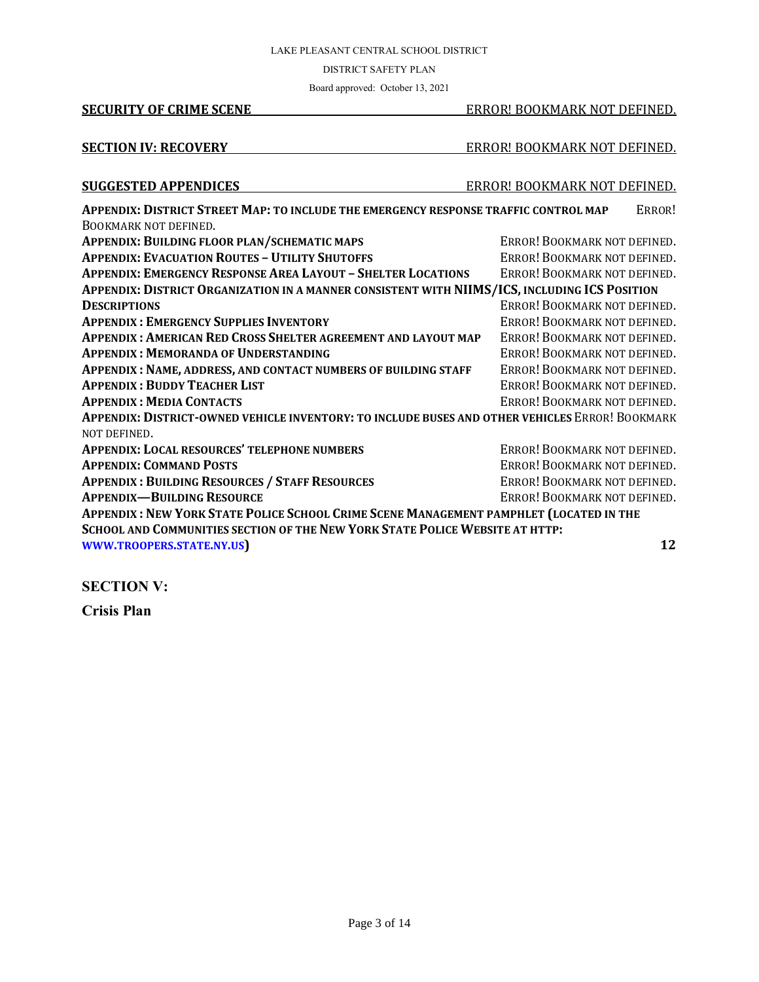#### DISTRICT SAFETY PLAN

Board approved: October 13, 2021

#### **SECURITY OF CRIME SCENE** EXPLORED ERROR! BOOKMARK NOT DEFINED.

#### **SECTION IV: RECOVERY** ERROR! BOOKMARK NOT DEFINED.

#### **SUGGESTED APPENDICES** ERROR! BOOKMARK NOT DEFINED.

| APPENDIX: DISTRICT STREET MAP: TO INCLUDE THE EMERGENCY RESPONSE TRAFFIC CONTROL MAP            | ERROR!                       |  |
|-------------------------------------------------------------------------------------------------|------------------------------|--|
| BOOKMARK NOT DEFINED.                                                                           |                              |  |
| APPENDIX: BUILDING FLOOR PLAN/SCHEMATIC MAPS                                                    | ERROR! BOOKMARK NOT DEFINED. |  |
| <b>APPENDIX: EVACUATION ROUTES - UTILITY SHUTOFFS</b>                                           | ERROR! BOOKMARK NOT DEFINED. |  |
| <b>APPENDIX: EMERGENCY RESPONSE AREA LAYOUT - SHELTER LOCATIONS</b>                             | ERROR! BOOKMARK NOT DEFINED. |  |
| APPENDIX: DISTRICT ORGANIZATION IN A MANNER CONSISTENT WITH NIIMS/ICS, INCLUDING ICS POSITION   |                              |  |
| <b>DESCRIPTIONS</b>                                                                             | ERROR! BOOKMARK NOT DEFINED. |  |
| <b>APPENDIX: EMERGENCY SUPPLIES INVENTORY</b>                                                   | ERROR! BOOKMARK NOT DEFINED. |  |
| APPENDIX : AMERICAN RED CROSS SHELTER AGREEMENT AND LAYOUT MAP                                  | ERROR! BOOKMARK NOT DEFINED. |  |
| <b>APPENDIX: MEMORANDA OF UNDERSTANDING</b>                                                     | ERROR! BOOKMARK NOT DEFINED. |  |
| APPENDIX : NAME, ADDRESS, AND CONTACT NUMBERS OF BUILDING STAFF                                 | ERROR! BOOKMARK NOT DEFINED. |  |
| <b>APPENDIX: BUDDY TEACHER LIST</b>                                                             | ERROR! BOOKMARK NOT DEFINED. |  |
| <b>APPENDIX: MEDIA CONTACTS</b>                                                                 | ERROR! BOOKMARK NOT DEFINED. |  |
| APPENDIX: DISTRICT-OWNED VEHICLE INVENTORY: TO INCLUDE BUSES AND OTHER VEHICLES ERROR! BOOKMARK |                              |  |
| NOT DEFINED.                                                                                    |                              |  |
| <b>APPENDIX: LOCAL RESOURCES' TELEPHONE NUMBERS</b>                                             | ERROR! BOOKMARK NOT DEFINED. |  |
| <b>APPENDIX: COMMAND POSTS</b>                                                                  | ERROR! BOOKMARK NOT DEFINED. |  |
| <b>APPENDIX: BUILDING RESOURCES / STAFF RESOURCES</b>                                           | ERROR! BOOKMARK NOT DEFINED. |  |
| <b>APPENDIX-BUILDING RESOURCE</b>                                                               | ERROR! BOOKMARK NOT DEFINED. |  |
| APPENDIX: NEW YORK STATE POLICE SCHOOL CRIME SCENE MANAGEMENT PAMPHLET (LOCATED IN THE          |                              |  |
| SCHOOL AND COMMUNITIES SECTION OF THE NEW YORK STATE POLICE WEBSITE AT HTTP:                    |                              |  |
| WWW.TROOPERS.STATE.NY.US                                                                        | 12                           |  |

**SECTION V:**

**Crisis Plan**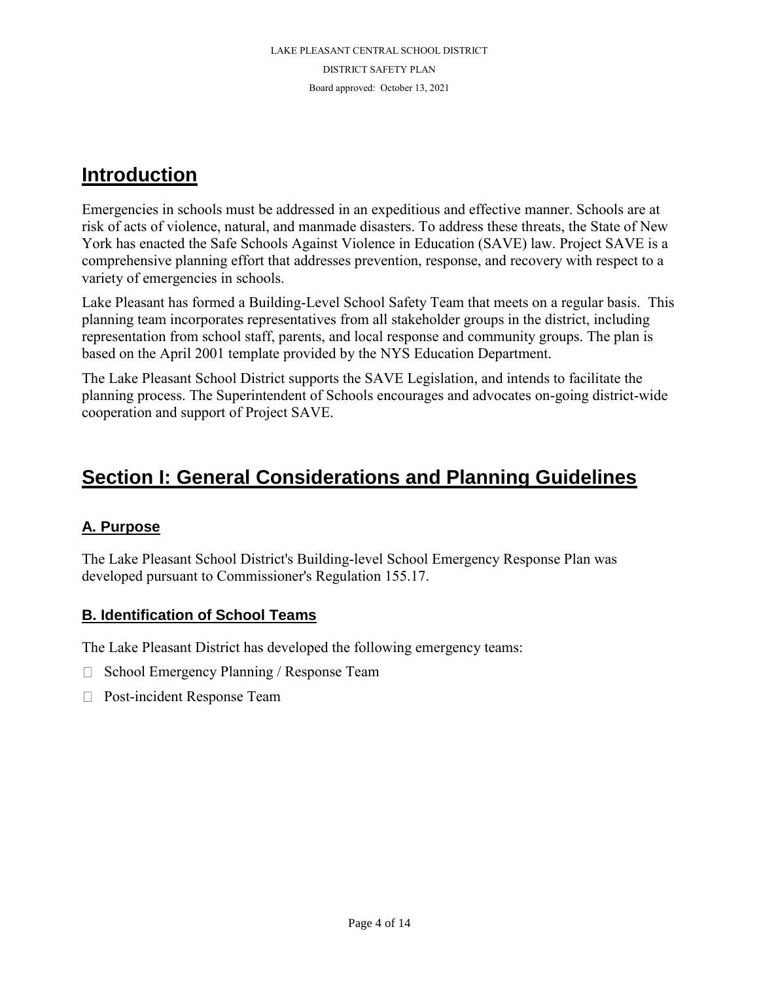# **Introduction**

Emergencies in schools must be addressed in an expeditious and effective manner. Schools are at risk of acts of violence, natural, and manmade disasters. To address these threats, the State of New York has enacted the Safe Schools Against Violence in Education (SAVE) law. Project SAVE is a comprehensive planning effort that addresses prevention, response, and recovery with respect to a variety of emergencies in schools.

Lake Pleasant has formed a Building-Level School Safety Team that meets on a regular basis. This planning team incorporates representatives from all stakeholder groups in the district, including representation from school staff, parents, and local response and community groups. The plan is based on the April 2001 template provided by the NYS Education Department.

The Lake Pleasant School District supports the SAVE Legislation, and intends to facilitate the planning process. The Superintendent of Schools encourages and advocates on-going district-wide cooperation and support of Project SAVE.

# **Section I: General Considerations and Planning Guidelines**

# **A. Purpose**

The Lake Pleasant School District's Building-level School Emergency Response Plan was developed pursuant to Commissioner's Regulation 155.17.

# **B. Identification of School Teams**

The Lake Pleasant District has developed the following emergency teams:

- $\Box$  School Emergency Planning / Response Team
- □ Post-incident Response Team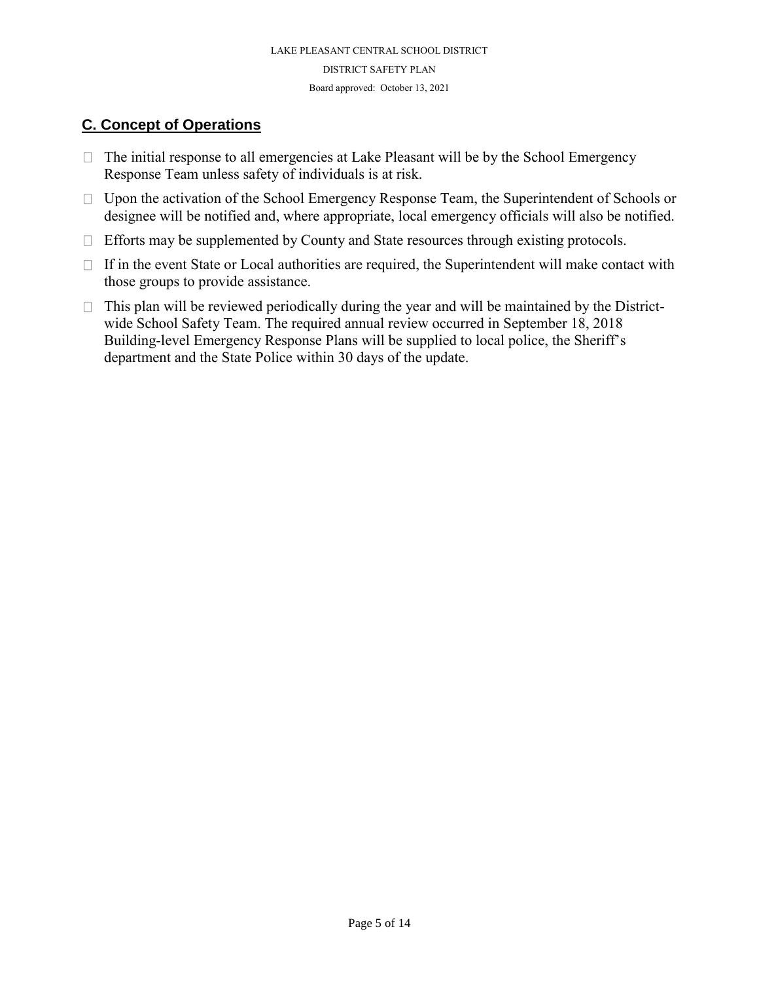# **C. Concept of Operations**

- $\Box$  The initial response to all emergencies at Lake Pleasant will be by the School Emergency Response Team unless safety of individuals is at risk.
- □ Upon the activation of the School Emergency Response Team, the Superintendent of Schools or designee will be notified and, where appropriate, local emergency officials will also be notified.
- $\Box$  Efforts may be supplemented by County and State resources through existing protocols.
- $\Box$  If in the event State or Local authorities are required, the Superintendent will make contact with those groups to provide assistance.
- $\Box$  This plan will be reviewed periodically during the year and will be maintained by the Districtwide School Safety Team. The required annual review occurred in September 18, 2018 Building-level Emergency Response Plans will be supplied to local police, the Sheriff's department and the State Police within 30 days of the update.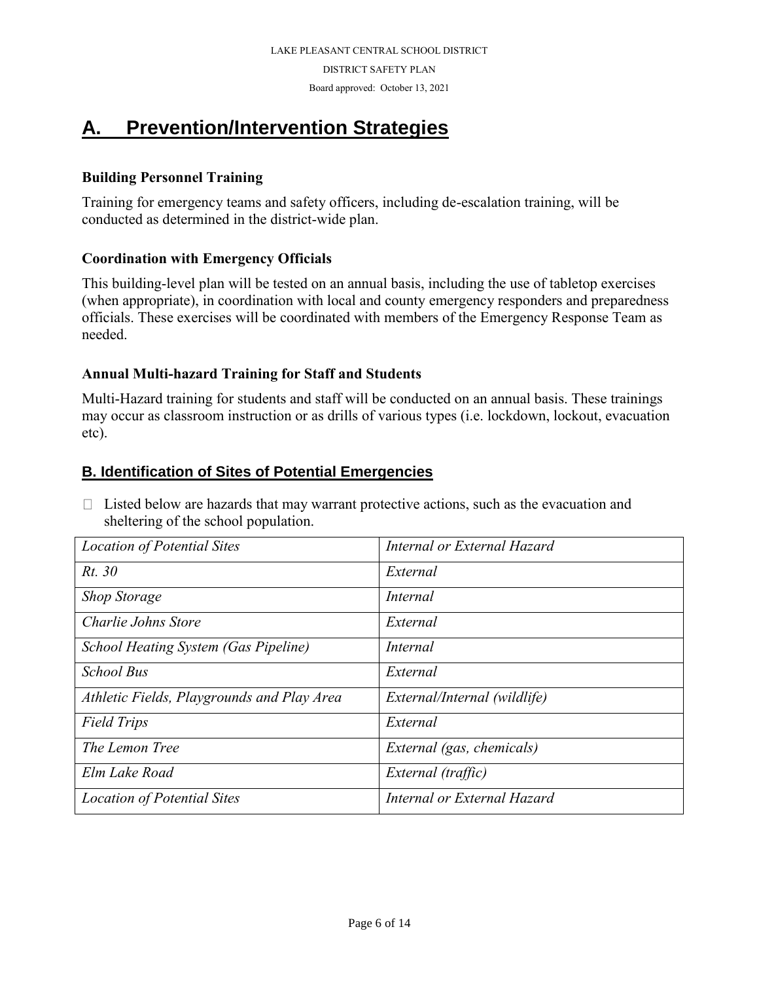DISTRICT SAFETY PLAN

Board approved: October 13, 2021

# **A. Prevention/Intervention Strategies**

### **Building Personnel Training**

Training for emergency teams and safety officers, including de-escalation training, will be conducted as determined in the district-wide plan.

## **Coordination with Emergency Officials**

This building-level plan will be tested on an annual basis, including the use of tabletop exercises (when appropriate), in coordination with local and county emergency responders and preparedness officials. These exercises will be coordinated with members of the Emergency Response Team as needed.

## **Annual Multi-hazard Training for Staff and Students**

Multi-Hazard training for students and staff will be conducted on an annual basis. These trainings may occur as classroom instruction or as drills of various types (i.e. lockdown, lockout, evacuation etc).

# **B. Identification of Sites of Potential Emergencies**

 $\Box$  Listed below are hazards that may warrant protective actions, such as the evacuation and sheltering of the school population.

| <b>Location of Potential Sites</b>         | Internal or External Hazard  |
|--------------------------------------------|------------------------------|
| Rt. 30                                     | External                     |
| <b>Shop Storage</b>                        | Internal                     |
| Charlie Johns Store                        | External                     |
| School Heating System (Gas Pipeline)       | Internal                     |
| <b>School Bus</b>                          | External                     |
| Athletic Fields, Playgrounds and Play Area | External/Internal (wildlife) |
| <b>Field Trips</b>                         | External                     |
| The Lemon Tree                             | External (gas, chemicals)    |
| Elm Lake Road                              | External (traffic)           |
| <b>Location of Potential Sites</b>         | Internal or External Hazard  |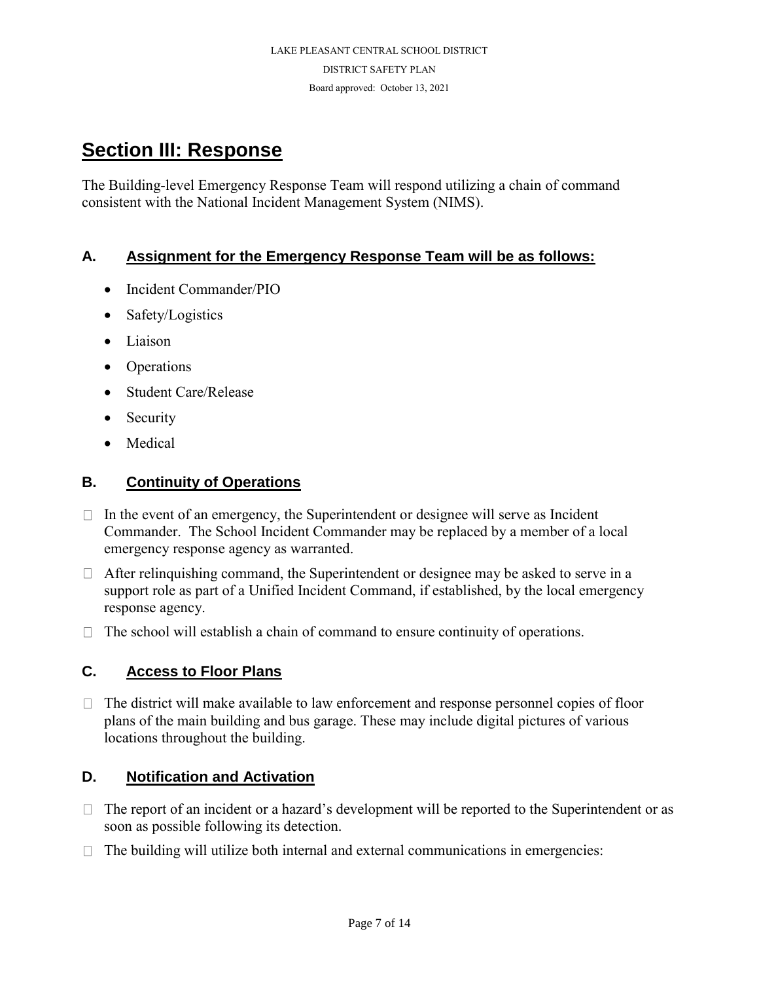# **Section III: Response**

The Building-level Emergency Response Team will respond utilizing a chain of command consistent with the National Incident Management System (NIMS).

# **A. Assignment for the Emergency Response Team will be as follows:**

- Incident Commander/PIO
- Safety/Logistics
- Liaison
- Operations
- Student Care/Release
- Security
- Medical

## **B. Continuity of Operations**

- $\Box$  In the event of an emergency, the Superintendent or designee will serve as Incident Commander. The School Incident Commander may be replaced by a member of a local emergency response agency as warranted.
- $\Box$  After relinquishing command, the Superintendent or designee may be asked to serve in a support role as part of a Unified Incident Command, if established, by the local emergency response agency.
- $\Box$  The school will establish a chain of command to ensure continuity of operations.

# **C. Access to Floor Plans**

 $\Box$  The district will make available to law enforcement and response personnel copies of floor plans of the main building and bus garage. These may include digital pictures of various locations throughout the building.

# **D. Notification and Activation**

- $\Box$  The report of an incident or a hazard's development will be reported to the Superintendent or as soon as possible following its detection.
- $\Box$  The building will utilize both internal and external communications in emergencies: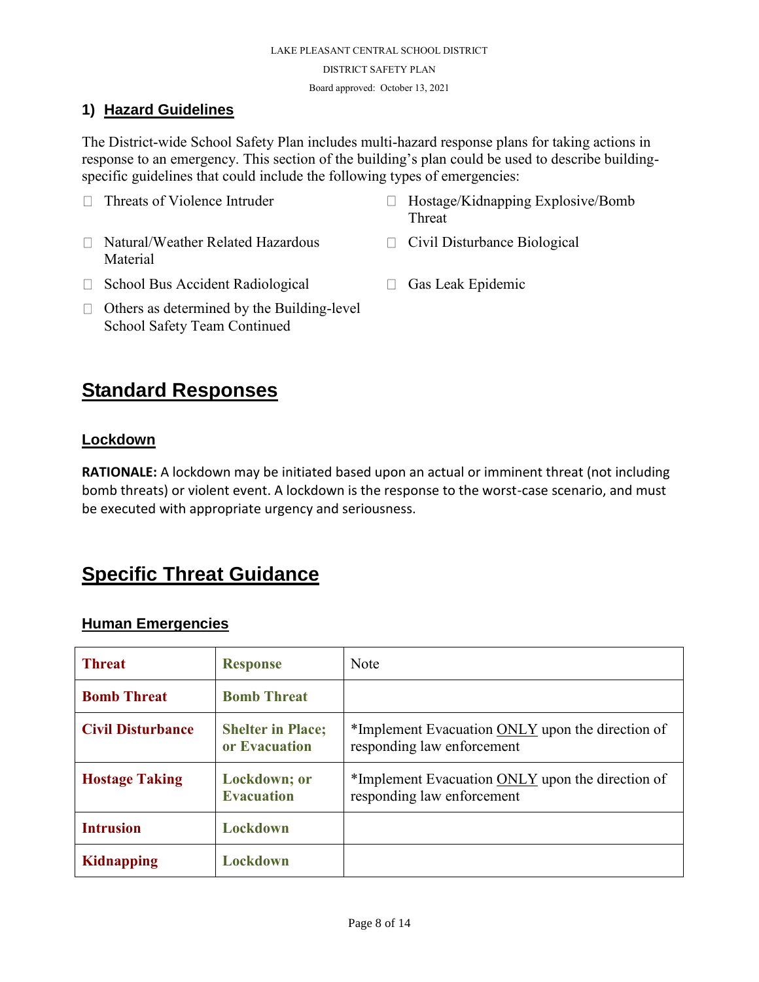#### **1) Hazard Guidelines**

The District-wide School Safety Plan includes multi-hazard response plans for taking actions in response to an emergency. This section of the building's plan could be used to describe buildingspecific guidelines that could include the following types of emergencies:

- $\Box$  Threats of Violence Intruder  $\Box$  Hostage/Kidnapping Explosive/Bomb Threat □ Natural/Weather Related Hazardous Material □ Civil Disturbance Biological
- $\Box$  School Bus Accident Radiological  $\Box$  Gas Leak Epidemic
	-
- $\Box$  Others as determined by the Building-level School Safety Team Continued

# **Standard Responses**

#### **Lockdown**

**RATIONALE:** A lockdown may be initiated based upon an actual or imminent threat (not including bomb threats) or violent event. A lockdown is the response to the worst-case scenario, and must be executed with appropriate urgency and seriousness.

# **Specific Threat Guidance**

#### **Human Emergencies**

| <b>Threat</b>            | <b>Response</b>                           | Note                                                                           |
|--------------------------|-------------------------------------------|--------------------------------------------------------------------------------|
| <b>Bomb Threat</b>       | <b>Bomb Threat</b>                        |                                                                                |
| <b>Civil Disturbance</b> | <b>Shelter in Place;</b><br>or Evacuation | *Implement Evacuation ONLY upon the direction of<br>responding law enforcement |
| <b>Hostage Taking</b>    | Lockdown; or<br><b>Evacuation</b>         | *Implement Evacuation ONLY upon the direction of<br>responding law enforcement |
| <b>Intrusion</b>         | Lockdown                                  |                                                                                |
| <b>Kidnapping</b>        | Lockdown                                  |                                                                                |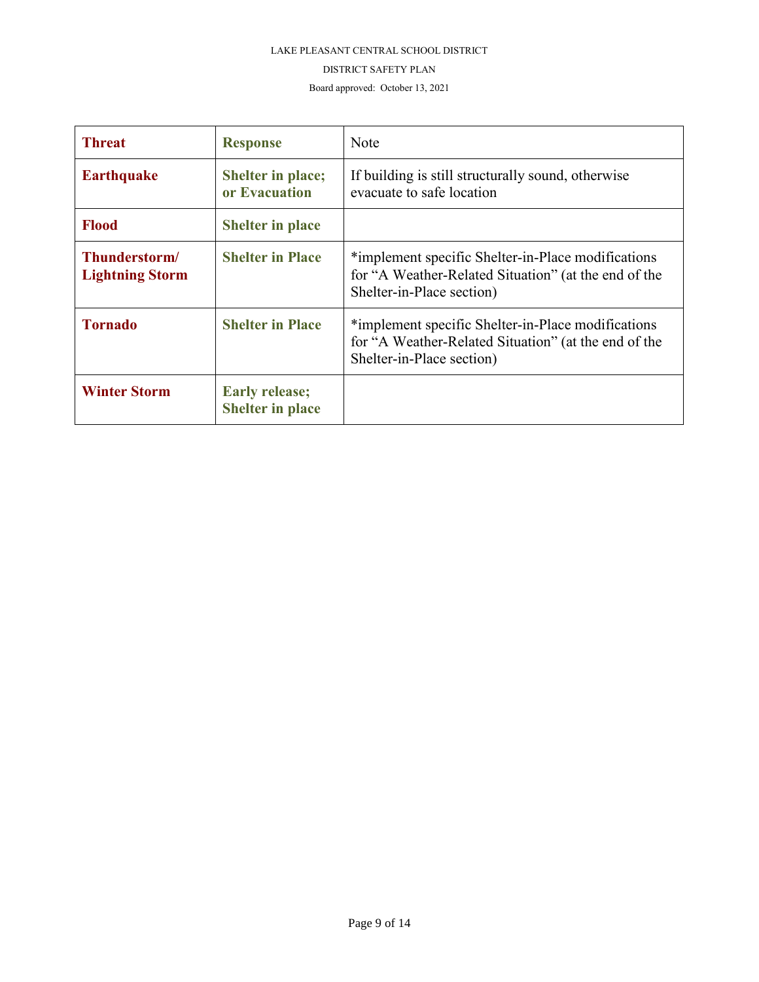#### DISTRICT SAFETY PLAN

Board approved: October 13, 2021

| <b>Threat</b>                           | <b>Response</b>                                  | Note                                                                                                                                    |
|-----------------------------------------|--------------------------------------------------|-----------------------------------------------------------------------------------------------------------------------------------------|
| <b>Earthquake</b>                       | <b>Shelter in place;</b><br>or Evacuation        | If building is still structurally sound, otherwise<br>evacuate to safe location                                                         |
| <b>Flood</b>                            | <b>Shelter in place</b>                          |                                                                                                                                         |
| Thunderstorm/<br><b>Lightning Storm</b> | <b>Shelter in Place</b>                          | *implement specific Shelter-in-Place modifications<br>for "A Weather-Related Situation" (at the end of the<br>Shelter-in-Place section) |
| <b>Tornado</b>                          | <b>Shelter in Place</b>                          | *implement specific Shelter-in-Place modifications<br>for "A Weather-Related Situation" (at the end of the<br>Shelter-in-Place section) |
| <b>Winter Storm</b>                     | <b>Early release;</b><br><b>Shelter in place</b> |                                                                                                                                         |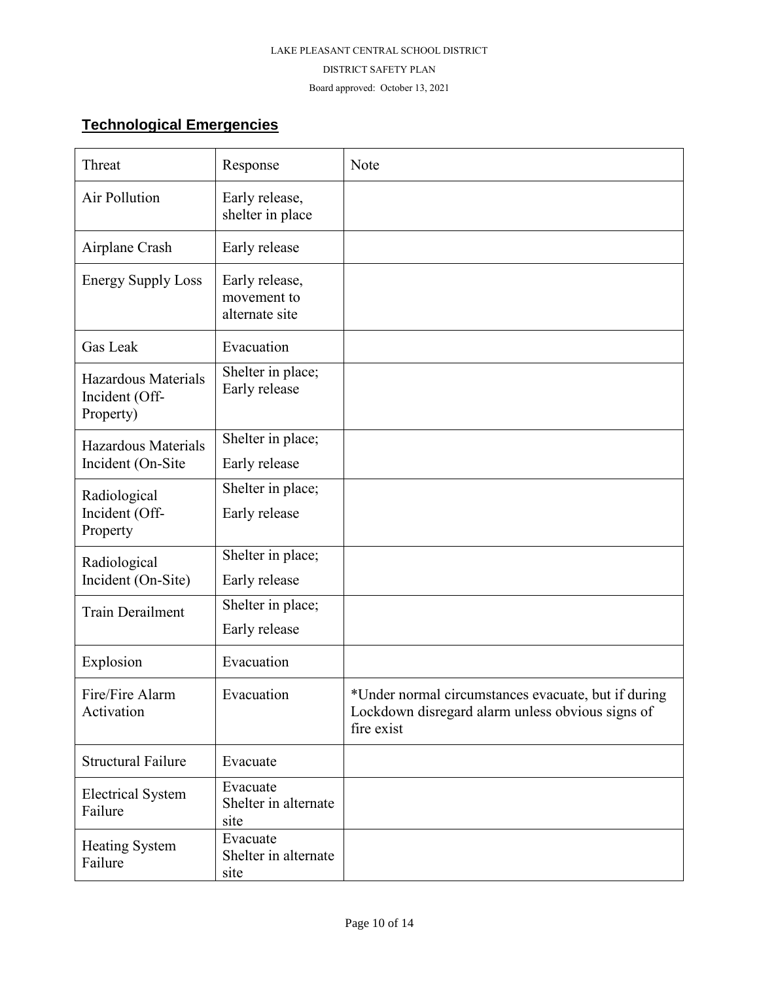#### DISTRICT SAFETY PLAN

Board approved: October 13, 2021

# **Technological Emergencies**

| Threat                                             | Response                                        | Note                                                                                                                  |
|----------------------------------------------------|-------------------------------------------------|-----------------------------------------------------------------------------------------------------------------------|
| Air Pollution                                      | Early release,<br>shelter in place              |                                                                                                                       |
| Airplane Crash                                     | Early release                                   |                                                                                                                       |
| <b>Energy Supply Loss</b>                          | Early release,<br>movement to<br>alternate site |                                                                                                                       |
| Gas Leak                                           | Evacuation                                      |                                                                                                                       |
| Hazardous Materials<br>Incident (Off-<br>Property) | Shelter in place;<br>Early release              |                                                                                                                       |
| <b>Hazardous Materials</b><br>Incident (On-Site    | Shelter in place;<br>Early release              |                                                                                                                       |
| Radiological<br>Incident (Off-<br>Property         | Shelter in place;<br>Early release              |                                                                                                                       |
| Radiological<br>Incident (On-Site)                 | Shelter in place;<br>Early release              |                                                                                                                       |
| <b>Train Derailment</b>                            | Shelter in place;<br>Early release              |                                                                                                                       |
| Explosion                                          | Evacuation                                      |                                                                                                                       |
| Fire/Fire Alarm<br>Activation                      | Evacuation                                      | *Under normal circumstances evacuate, but if during<br>Lockdown disregard alarm unless obvious signs of<br>fire exist |
| <b>Structural Failure</b>                          | Evacuate                                        |                                                                                                                       |
| <b>Electrical System</b><br>Failure                | Evacuate<br>Shelter in alternate<br>site        |                                                                                                                       |
| <b>Heating System</b><br>Failure                   | Evacuate<br>Shelter in alternate<br>site        |                                                                                                                       |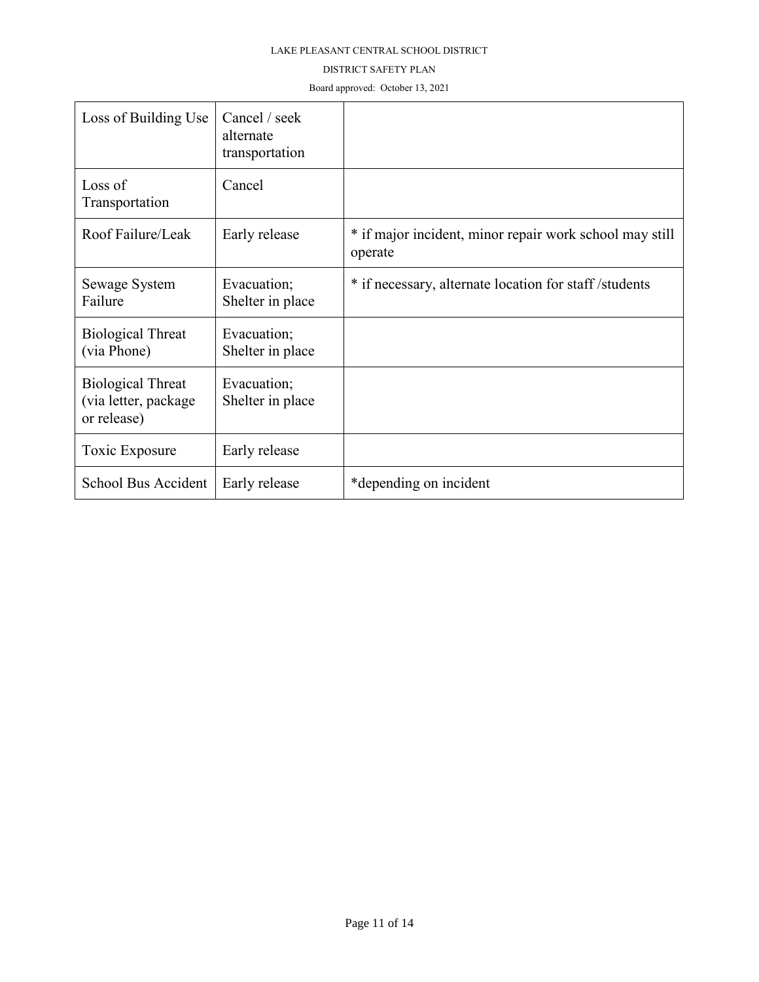#### DISTRICT SAFETY PLAN

Board approved: October 13, 2021

| Loss of Building Use                                            | Cancel / seek<br>alternate<br>transportation |                                                                    |
|-----------------------------------------------------------------|----------------------------------------------|--------------------------------------------------------------------|
| Loss of<br>Transportation                                       | Cancel                                       |                                                                    |
| Roof Failure/Leak                                               | Early release                                | * if major incident, minor repair work school may still<br>operate |
| Sewage System<br>Failure                                        | Evacuation;<br>Shelter in place              | * if necessary, alternate location for staff /students             |
| <b>Biological Threat</b><br>(via Phone)                         | Evacuation;<br>Shelter in place              |                                                                    |
| <b>Biological Threat</b><br>(via letter, package<br>or release) | Evacuation;<br>Shelter in place              |                                                                    |
| Toxic Exposure                                                  | Early release                                |                                                                    |
| School Bus Accident                                             | Early release                                | *depending on incident                                             |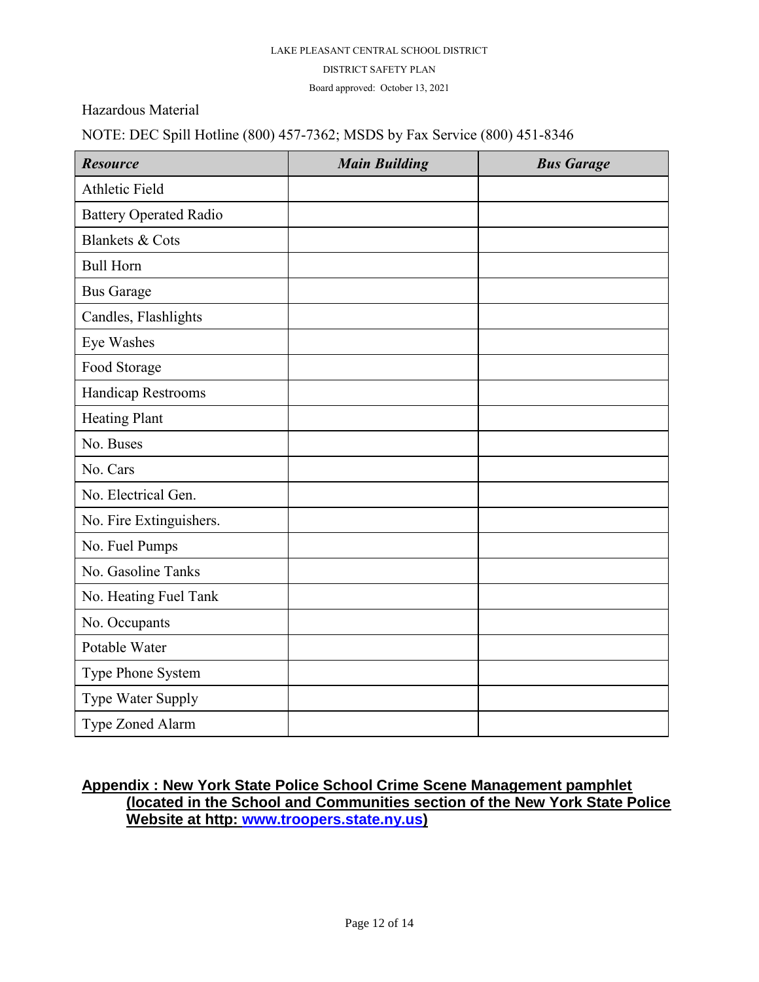#### DISTRICT SAFETY PLAN

Board approved: October 13, 2021

Hazardous Material

NOTE: DEC Spill Hotline (800) 457-7362; MSDS by Fax Service (800) 451-8346

| <b>Resource</b>               | <b>Main Building</b> | <b>Bus Garage</b> |
|-------------------------------|----------------------|-------------------|
| <b>Athletic Field</b>         |                      |                   |
| <b>Battery Operated Radio</b> |                      |                   |
| <b>Blankets &amp; Cots</b>    |                      |                   |
| <b>Bull Horn</b>              |                      |                   |
| <b>Bus Garage</b>             |                      |                   |
| Candles, Flashlights          |                      |                   |
| Eye Washes                    |                      |                   |
| Food Storage                  |                      |                   |
| Handicap Restrooms            |                      |                   |
| <b>Heating Plant</b>          |                      |                   |
| No. Buses                     |                      |                   |
| No. Cars                      |                      |                   |
| No. Electrical Gen.           |                      |                   |
| No. Fire Extinguishers.       |                      |                   |
| No. Fuel Pumps                |                      |                   |
| No. Gasoline Tanks            |                      |                   |
| No. Heating Fuel Tank         |                      |                   |
| No. Occupants                 |                      |                   |
| Potable Water                 |                      |                   |
| Type Phone System             |                      |                   |
| Type Water Supply             |                      |                   |
| Type Zoned Alarm              |                      |                   |

# **Appendix : New York State Police School Crime Scene Management pamphlet (located in the School and Communities section of the New York State Police Website at http: [www.troopers.state.ny.us\)](http://www.troopers.state.ny.us/)**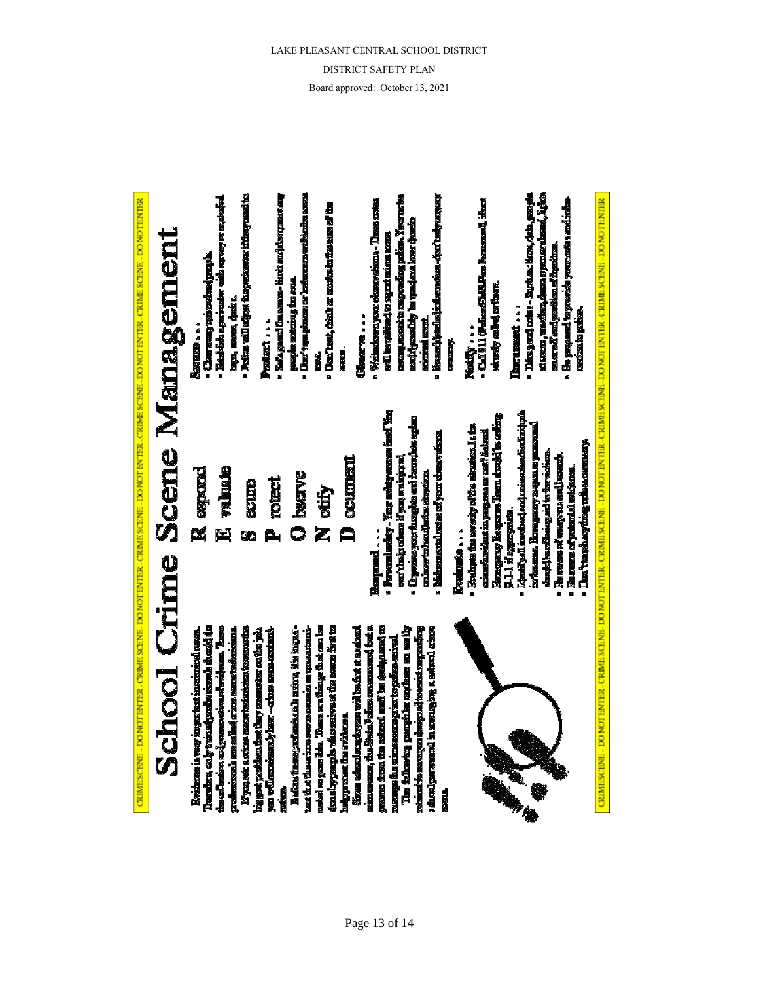

Managemen Scene Crime **School** 

USIMESCENE - DO WOT ENTER - CRIME SUENE - DO WOT ENTER - CRIME SUENE - DO WOT ENTER - LO ENTER - DO TO ENTER - DO WOT ENTER TER

**Candida**, so by treated gassine recente shealth da the collection and present developed the United Li yau wê a si tun meninke belan ku tunun b **RESERVE THE PROPERTY WAS SERVED TO BE A** Keidona ia very insprient in ministral rasser **PERSONAL ALTER ARABIA SETTEM ALEXANDERIA** 

is the property of the series of the series first to askel wayse fle. These my things the ear be heft wird fan de stien eine eine wird is werden. the their first research as represented as reporting steppenent the svistering.

**atomet, the Spin Friese meaning to a** passed from the relaxal and be seriously to Street school and a response to the Social Second 【第1月250年2月12日,12月12日,12月12日,12月2日,12月12日,12月12日,12月12日,12月12日,12月12日,12月12日,12月12日,12月12日,12月12日,12

The following pamphle molenus on such private provide a consequent of the consequent of the construction **Alizel communies** in metros with a more **DESCRIPTION** 



- **The concept of wearing and book in another** 
	- **Four construction** with the

and 300

**He property as provide your all** 

**matern to golden.** 

Than 't turkhoughbing unissesses as

CRIMESCENE - DO NOT ENTER - CRIMESCENE - DO NOT ENTER - CRIMESCENE - DO NOT ENTER - CRIMESCENE - CRIMESCENE - DO NOTENTER

DISTRICT SAFETY PLAN

Board approved: October 13, 2021

Page 13 of 14